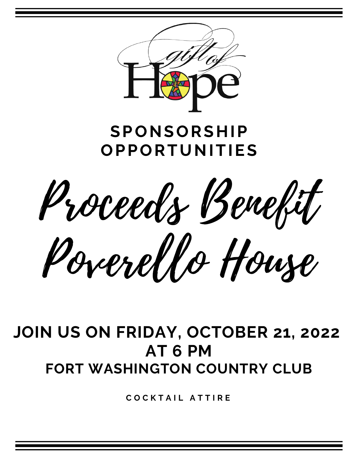

# **SPONSORSHIP OPPORTUNITIES**

Proceeds Benefit Poverello House

# **JOIN US ON FRIDAY, OCTOBER 21, 2022 AT 6 PM FORT WASHINGTON COUNTRY CLUB**

**C O C K T A I L A T T I R E**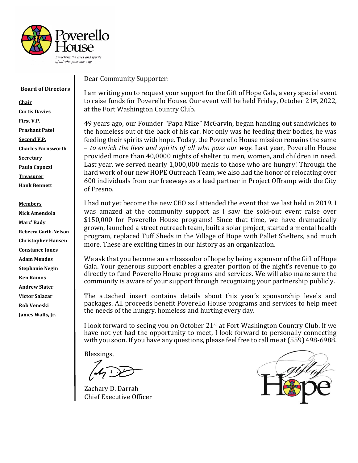

#### **Board of Directors**

**Chair Curtis Davies First V.P. Prashant Patel Second V.P. Charles Farnsworth Secretary Paula Capozzi Treasurer Hank Bennett**

**Members Nick Amendola Marc' Bady Rebecca Garth-Nelson Christopher Hansen Constance Jones Adam Mendes Stephanie Negin Ken Ramos Andrew Slater Victor Salazar Rob Veneski James Walls, Jr.**

Dear Community Supporter:

I am writing you to request your support for the Gift of Hope Gala, a very special event to raise funds for Poverello House. Our event will be held Friday, October 21st, 2022, at the Fort Washington Country Club.

49 years ago, our Founder "Papa Mike" McGarvin, began handing out sandwiches to the homeless out of the back of his car. Not only was he feeding their bodies, he was feeding their spirits with hope. Today, the Poverello House mission remains the same – *to enrich the lives and spirits of all who pass our way*. Last year, Poverello House provided more than 40,0000 nights of shelter to men, women, and children in need. Last year, we served nearly 1,000,000 meals to those who are hungry! Through the hard work of our new HOPE Outreach Team, we also had the honor of relocating over 600 individuals from our freeways as a lead partner in Project Offramp with the City of Fresno.

I had not yet become the new CEO as I attended the event that we last held in 2019. I was amazed at the community support as I saw the sold-out event raise over \$150,000 for Poverello House programs! Since that time, we have dramatically grown, launched a street outreach team, built a solar project, started a mental health program, replaced Tuff Sheds in the Village of Hope with Pallet Shelters, and much more. These are exciting times in our history as an organization.

We ask that you become an ambassador of hope by being a sponsor of the Gift of Hope Gala. Your generous support enables a greater portion of the night's revenue to go directly to fund Poverello House programs and services. We will also make sure the community is aware of your support through recognizing your partnership publicly.

The attached insert contains details about this year's sponsorship levels and packages. All proceeds benefit Poverello House programs and services to help meet the needs of the hungry, homeless and hurting every day.

I look forward to seeing you on October 21st at Fort Washington Country Club. If we have not yet had the opportunity to meet, I look forward to personally connecting with you soon. If you have any questions, please feel free to call me at (559) 498-6988.

Blessings,

Zachary D. Darrah Chief Executive Officer